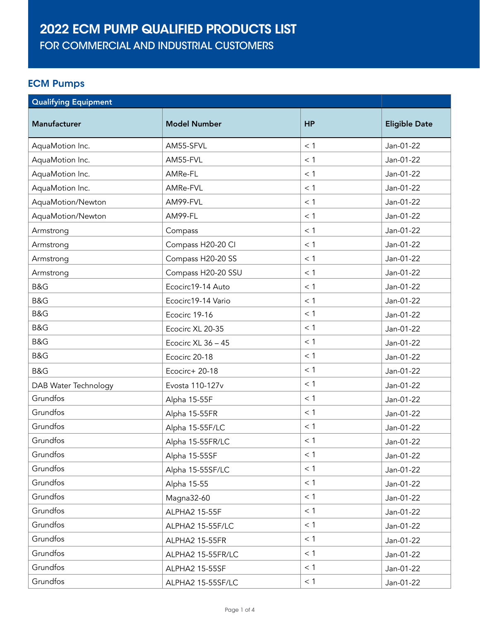## 2022 ECM PUMP QUALIFIED PRODUCTS LIST

FOR COMMERCIAL AND INDUSTRIAL CUSTOMERS

## ECM Pumps

| <b>Qualifying Equipment</b> |                     |           |                      |
|-----------------------------|---------------------|-----------|----------------------|
| <b>Manufacturer</b>         | <b>Model Number</b> | <b>HP</b> | <b>Eligible Date</b> |
| AquaMotion Inc.             | AM55-SFVL           | < 1       | Jan-01-22            |
| AquaMotion Inc.             | AM55-FVL            | < 1       | Jan-01-22            |
| AquaMotion Inc.             | AMRe-FL             | $<$ 1     | Jan-01-22            |
| AquaMotion Inc.             | AMRe-FVL            | < 1       | Jan-01-22            |
| AquaMotion/Newton           | AM99-FVL            | < 1       | Jan-01-22            |
| AquaMotion/Newton           | AM99-FL             | < 1       | Jan-01-22            |
| Armstrong                   | Compass             | $<$ 1     | Jan-01-22            |
| Armstrong                   | Compass H20-20 Cl   | < 1       | Jan-01-22            |
| Armstrong                   | Compass H20-20 SS   | $<$ 1     | Jan-01-22            |
| Armstrong                   | Compass H20-20 SSU  | < 1       | Jan-01-22            |
| B&G                         | Ecocirc19-14 Auto   | < 1       | Jan-01-22            |
| B&G                         | Ecocirc19-14 Vario  | < 1       | Jan-01-22            |
| B&G                         | Ecocirc 19-16       | < 1       | Jan-01-22            |
| B&G                         | Ecocirc XL 20-35    | $<$ 1     | Jan-01-22            |
| B&G                         | Ecocirc XL 36 - 45  | < 1       | Jan-01-22            |
| B&G                         | Ecocirc 20-18       | $<$ 1     | Jan-01-22            |
| B&G                         | Ecocirc+ 20-18      | < 1       | Jan-01-22            |
| DAB Water Technology        | Evosta 110-127v     | $<$ 1     | Jan-01-22            |
| Grundfos                    | Alpha 15-55F        | < 1       | Jan-01-22            |
| Grundfos                    | Alpha 15-55FR       | < 1       | Jan-01-22            |
| Grundfos                    | Alpha 15-55F/LC     | $<$ 1     | Jan-01-22            |
| Grundfos                    | Alpha 15-55FR/LC    | < 1       | Jan-01-22            |
| Grundfos                    | Alpha 15-55SF       | $<$ 1     | Jan-01-22            |
| Grundfos                    | Alpha 15-55SF/LC    | < 1       | Jan-01-22            |
| Grundfos                    | Alpha 15-55         | < 1       | Jan-01-22            |
| Grundfos                    | Magna32-60          | < 1       | Jan-01-22            |
| Grundfos                    | ALPHA2 15-55F       | < 1       | Jan-01-22            |
| Grundfos                    | ALPHA2 15-55F/LC    | < 1       | Jan-01-22            |
| Grundfos                    | ALPHA2 15-55FR      | < 1       | Jan-01-22            |
| Grundfos                    | ALPHA2 15-55FR/LC   | < 1       | Jan-01-22            |
| Grundfos                    | ALPHA2 15-55SF      | < 1       | Jan-01-22            |
| Grundfos                    | ALPHA2 15-55SF/LC   | < 1       | Jan-01-22            |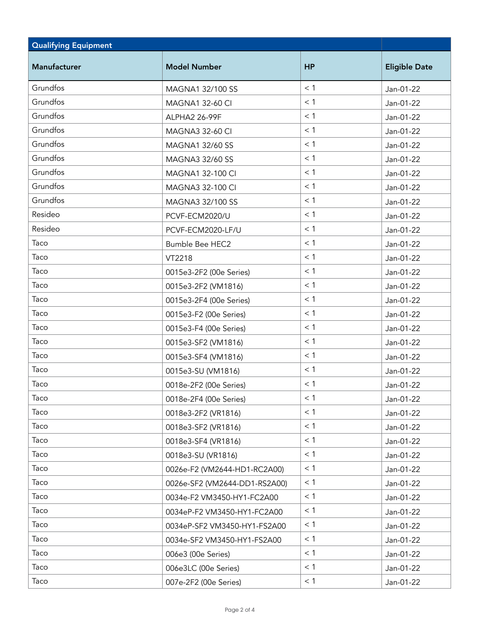| <b>Qualifying Equipment</b> |                               |           |                      |
|-----------------------------|-------------------------------|-----------|----------------------|
| Manufacturer                | <b>Model Number</b>           | <b>HP</b> | <b>Eligible Date</b> |
| Grundfos                    | MAGNA1 32/100 SS              | < 1       | Jan-01-22            |
| Grundfos                    | <b>MAGNA1 32-60 CI</b>        | < 1       | Jan-01-22            |
| Grundfos                    | ALPHA2 26-99F                 | < 1       | Jan-01-22            |
| Grundfos                    | <b>MAGNA3 32-60 CI</b>        | < 1       | Jan-01-22            |
| Grundfos                    | MAGNA1 32/60 SS               | < 1       | Jan-01-22            |
| Grundfos                    | MAGNA3 32/60 SS               | < 1       | Jan-01-22            |
| Grundfos                    | MAGNA1 32-100 CI              | < 1       | Jan-01-22            |
| Grundfos                    | MAGNA3 32-100 CI              | < 1       | Jan-01-22            |
| Grundfos                    | MAGNA3 32/100 SS              | < 1       | Jan-01-22            |
| Resideo                     | PCVF-ECM2020/U                | < 1       | Jan-01-22            |
| Resideo                     | PCVF-ECM2020-LF/U             | < 1       | Jan-01-22            |
| Taco                        | <b>Bumble Bee HEC2</b>        | < 1       | Jan-01-22            |
| Taco                        | VT2218                        | < 1       | Jan-01-22            |
| Taco                        | 0015e3-2F2 (00e Series)       | < 1       | Jan-01-22            |
| Taco                        | 0015e3-2F2 (VM1816)           | < 1       | Jan-01-22            |
| Taco                        | 0015e3-2F4 (00e Series)       | < 1       | Jan-01-22            |
| Taco                        | 0015e3-F2 (00e Series)        | $<$ 1     | Jan-01-22            |
| Taco                        | 0015e3-F4 (00e Series)        | < 1       | Jan-01-22            |
| Taco                        | 0015e3-SF2 (VM1816)           | < 1       | Jan-01-22            |
| Taco                        | 0015e3-SF4 (VM1816)           | < 1       | Jan-01-22            |
| Taco                        | 0015e3-SU (VM1816)            | $<$ 1     | Jan-01-22            |
| Taco                        | 0018e-2F2 (00e Series)        | $<$ 1     | Jan-01-22            |
| Taco                        | 0018e-2F4 (00e Series)        | $<$ 1     | Jan-01-22            |
| Taco                        | 0018e3-2F2 (VR1816)           | < 1       | Jan-01-22            |
| Taco                        | 0018e3-SF2 (VR1816)           | < 1       | Jan-01-22            |
| Taco                        | 0018e3-SF4 (VR1816)           | < 1       | Jan-01-22            |
| Taco                        | 0018e3-SU (VR1816)            | < 1       | Jan-01-22            |
| Taco                        | 0026e-F2 (VM2644-HD1-RC2A00)  | < 1       | Jan-01-22            |
| Taco                        | 0026e-SF2 (VM2644-DD1-RS2A00) | $<$ 1     | Jan-01-22            |
| Taco                        | 0034e-F2 VM3450-HY1-FC2A00    | < 1       | Jan-01-22            |
| Taco                        | 0034eP-F2 VM3450-HY1-FC2A00   | $<$ 1     | Jan-01-22            |
| Taco                        | 0034eP-SF2 VM3450-HY1-FS2A00  | < 1       | Jan-01-22            |
| Taco                        | 0034e-SF2 VM3450-HY1-FS2A00   | < 1       | Jan-01-22            |
| Taco                        | 006e3 (00e Series)            | < 1       | Jan-01-22            |
| Taco                        | 006e3LC (00e Series)          | < 1       | Jan-01-22            |
| Taco                        | 007e-2F2 (00e Series)         | < 1       | Jan-01-22            |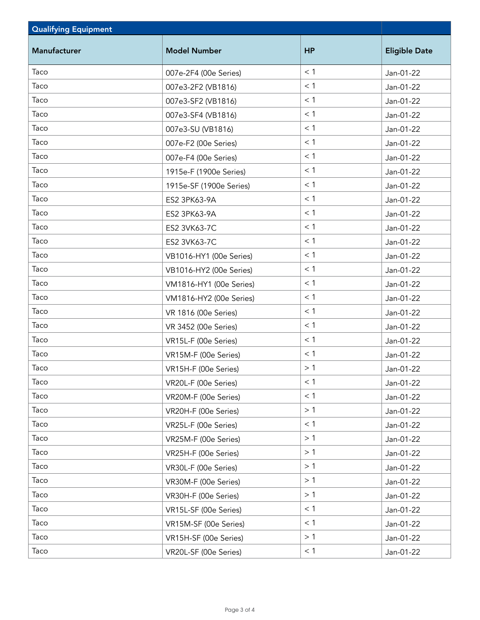| <b>Qualifying Equipment</b> |                         |           |                      |
|-----------------------------|-------------------------|-----------|----------------------|
| <b>Manufacturer</b>         | <b>Model Number</b>     | <b>HP</b> | <b>Eligible Date</b> |
| Taco                        | 007e-2F4 (00e Series)   | < 1       | Jan-01-22            |
| Taco                        | 007e3-2F2 (VB1816)      | < 1       | Jan-01-22            |
| Taco                        | 007e3-SF2 (VB1816)      | < 1       | Jan-01-22            |
| Taco                        | 007e3-SF4 (VB1816)      | < 1       | Jan-01-22            |
| Taco                        | 007e3-SU (VB1816)       | < 1       | Jan-01-22            |
| Taco                        | 007e-F2 (00e Series)    | < 1       | Jan-01-22            |
| Taco                        | 007e-F4 (00e Series)    | < 1       | Jan-01-22            |
| Taco                        | 1915e-F (1900e Series)  | < 1       | Jan-01-22            |
| Taco                        | 1915e-SF (1900e Series) | < 1       | Jan-01-22            |
| Taco                        | ES2 3PK63-9A            | < 1       | Jan-01-22            |
| Taco                        | ES2 3PK63-9A            | < 1       | Jan-01-22            |
| Taco                        | ES2 3VK63-7C            | < 1       | Jan-01-22            |
| Taco                        | ES2 3VK63-7C            | < 1       | Jan-01-22            |
| Taco                        | VB1016-HY1 (00e Series) | < 1       | Jan-01-22            |
| Taco                        | VB1016-HY2 (00e Series) | < 1       | Jan-01-22            |
| Taco                        | VM1816-HY1 (00e Series) | < 1       | Jan-01-22            |
| Taco                        | VM1816-HY2 (00e Series) | < 1       | Jan-01-22            |
| Taco                        | VR 1816 (00e Series)    | < 1       | Jan-01-22            |
| Taco                        | VR 3452 (00e Series)    | < 1       | Jan-01-22            |
| Taco                        | VR15L-F (00e Series)    | < 1       | Jan-01-22            |
| Taco                        | VR15M-F (00e Series)    | $<$ 1     | Jan-01-22            |
| Taco                        | VR15H-F (00e Series)    | >1        | Jan-01-22            |
| Taco                        | VR20L-F (00e Series)    | $<$ 1     | Jan-01-22            |
| Taco                        | VR20M-F (00e Series)    | < 1       | Jan-01-22            |
| Taco                        | VR20H-F (00e Series)    | >1        | Jan-01-22            |
| Taco                        | VR25L-F (00e Series)    | $<$ 1     | Jan-01-22            |
| Taco                        | VR25M-F (00e Series)    | >1        | Jan-01-22            |
| Taco                        | VR25H-F (00e Series)    | >1        | Jan-01-22            |
| Taco                        | VR30L-F (00e Series)    | >1        | Jan-01-22            |
| Taco                        | VR30M-F (00e Series)    | >1        | Jan-01-22            |
| Taco                        | VR30H-F (00e Series)    | >1        | Jan-01-22            |
| Taco                        | VR15L-SF (00e Series)   | $<$ 1     | Jan-01-22            |
| Taco                        | VR15M-SF (00e Series)   | < 1       | Jan-01-22            |
| Taco                        | VR15H-SF (00e Series)   | >1        | Jan-01-22            |
| Taco                        | VR20L-SF (00e Series)   | < 1       | Jan-01-22            |